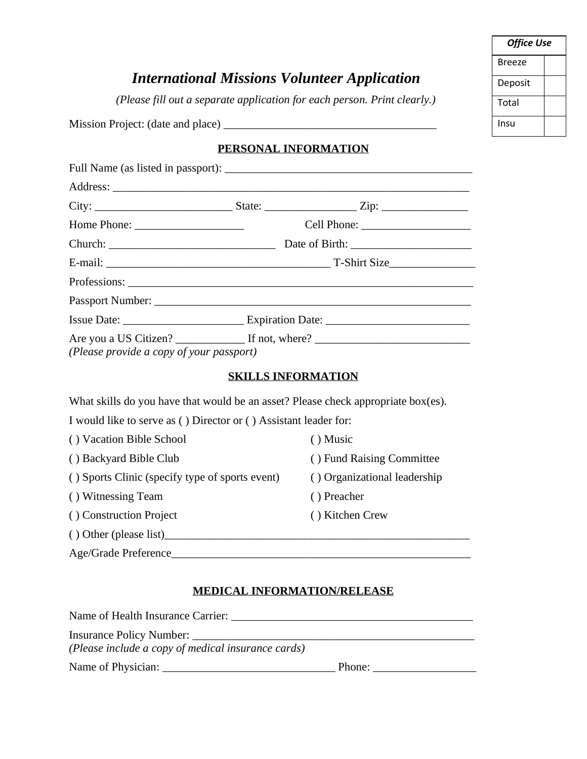| <b>Office Use</b> |  |  |
|-------------------|--|--|
| Breeze            |  |  |
| Deposit           |  |  |
| Total             |  |  |
| Insu              |  |  |

## *International Missions Volunteer Application*

*(Please fill out a separate application for each person. Print clearly.)*

Mission Project: (date and place) \_\_\_\_\_\_\_\_\_\_\_\_\_\_\_\_\_\_\_\_\_\_\_\_\_\_\_\_\_\_\_\_\_\_\_\_\_

## **PERSONAL INFORMATION**

| (Please provide a copy of your passport) |  |  |
|------------------------------------------|--|--|

## **SKILLS INFORMATION**

| What skills do you have that would be an asset? Please check appropriate box(es). |                              |  |  |
|-----------------------------------------------------------------------------------|------------------------------|--|--|
| I would like to serve as () Director or () Assistant leader for:                  |                              |  |  |
| () Vacation Bible School                                                          | $()$ Music                   |  |  |
| () Backyard Bible Club                                                            | () Fund Raising Committee    |  |  |
| () Sports Clinic (specify type of sports event)                                   | () Organizational leadership |  |  |
| () Witnessing Team                                                                | () Preacher                  |  |  |
| () Construction Project                                                           | () Kitchen Crew              |  |  |
| $()$ Other (please list)                                                          |                              |  |  |
| Age/Grade Preference                                                              |                              |  |  |

## **MEDICAL INFORMATION/RELEASE**

| Name of Health Insurance Carrier:                  |        |
|----------------------------------------------------|--------|
|                                                    |        |
| (Please include a copy of medical insurance cards) |        |
|                                                    | Phone: |